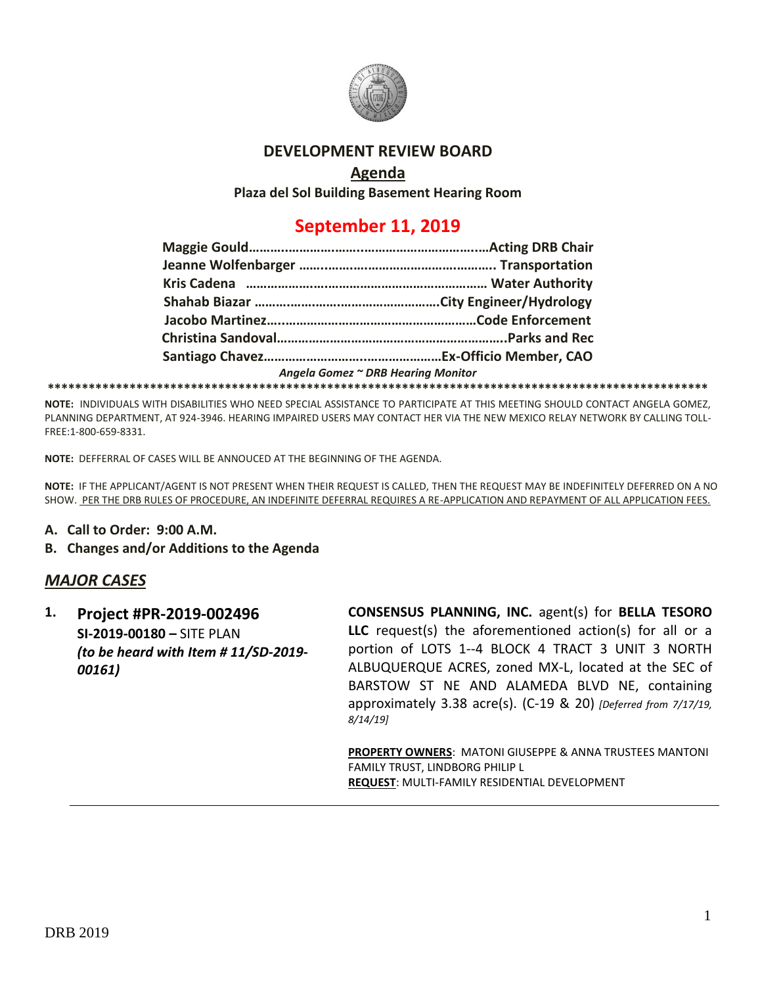

#### **DEVELOPMENT REVIEW BOARD**

### **Agenda**

**Plaza del Sol Building Basement Hearing Room**

# **September 11, 2019**

|  | Angela Gomez ~ DRB Hearing Monitor |
|--|------------------------------------|
|  |                                    |

**NOTE:** INDIVIDUALS WITH DISABILITIES WHO NEED SPECIAL ASSISTANCE TO PARTICIPATE AT THIS MEETING SHOULD CONTACT ANGELA GOMEZ, PLANNING DEPARTMENT, AT 924-3946. HEARING IMPAIRED USERS MAY CONTACT HER VIA THE NEW MEXICO RELAY NETWORK BY CALLING TOLL-FREE:1-800-659-8331.

**NOTE:** DEFFERRAL OF CASES WILL BE ANNOUCED AT THE BEGINNING OF THE AGENDA.

**NOTE:** IF THE APPLICANT/AGENT IS NOT PRESENT WHEN THEIR REQUEST IS CALLED, THEN THE REQUEST MAY BE INDEFINITELY DEFERRED ON A NO SHOW. PER THE DRB RULES OF PROCEDURE, AN INDEFINITE DEFERRAL REQUIRES A RE-APPLICATION AND REPAYMENT OF ALL APPLICATION FEES.

- **A. Call to Order: 9:00 A.M.**
- **B. Changes and/or Additions to the Agenda**

### *MAJOR CASES*

**1. Project #PR-2019-002496 SI-2019-00180 –** SITE PLAN *(to be heard with Item # 11/SD-2019- 00161)*

**CONSENSUS PLANNING, INC.** agent(s) for **BELLA TESORO LLC** request(s) the aforementioned action(s) for all or a portion of LOTS 1--4 BLOCK 4 TRACT 3 UNIT 3 NORTH ALBUQUERQUE ACRES, zoned MX-L, located at the SEC of BARSTOW ST NE AND ALAMEDA BLVD NE, containing approximately 3.38 acre(s). (C-19 & 20) *[Deferred from 7/17/19, 8/14/19]*

**PROPERTY OWNERS**: MATONI GIUSEPPE & ANNA TRUSTEES MANTONI FAMILY TRUST, LINDBORG PHILIP L **REQUEST**: MULTI-FAMILY RESIDENTIAL DEVELOPMENT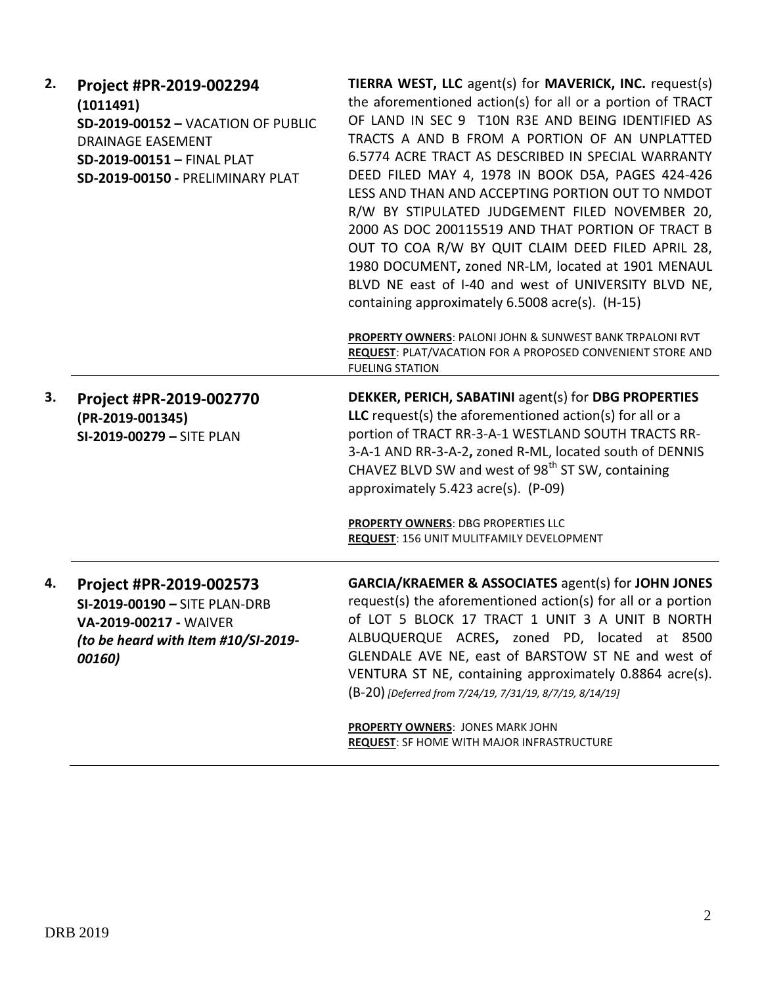| 2. | Project #PR-2019-002294<br>(1011491)<br><b>SD-2019-00152 - VACATION OF PUBLIC</b><br><b>DRAINAGE EASEMENT</b><br>SD-2019-00151 - FINAL PLAT<br>SD-2019-00150 - PRELIMINARY PLAT | TIERRA WEST, LLC agent(s) for MAVERICK, INC. request(s)<br>the aforementioned action(s) for all or a portion of TRACT<br>OF LAND IN SEC 9 T10N R3E AND BEING IDENTIFIED AS<br>TRACTS A AND B FROM A PORTION OF AN UNPLATTED<br>6.5774 ACRE TRACT AS DESCRIBED IN SPECIAL WARRANTY<br>DEED FILED MAY 4, 1978 IN BOOK D5A, PAGES 424-426<br>LESS AND THAN AND ACCEPTING PORTION OUT TO NMDOT<br>R/W BY STIPULATED JUDGEMENT FILED NOVEMBER 20,<br>2000 AS DOC 200115519 AND THAT PORTION OF TRACT B<br>OUT TO COA R/W BY QUIT CLAIM DEED FILED APRIL 28,<br>1980 DOCUMENT, zoned NR-LM, located at 1901 MENAUL<br>BLVD NE east of I-40 and west of UNIVERSITY BLVD NE,<br>containing approximately 6.5008 acre(s). (H-15)<br>PROPERTY OWNERS: PALONI JOHN & SUNWEST BANK TRPALONI RVT<br><b>REQUEST: PLAT/VACATION FOR A PROPOSED CONVENIENT STORE AND</b> |
|----|---------------------------------------------------------------------------------------------------------------------------------------------------------------------------------|----------------------------------------------------------------------------------------------------------------------------------------------------------------------------------------------------------------------------------------------------------------------------------------------------------------------------------------------------------------------------------------------------------------------------------------------------------------------------------------------------------------------------------------------------------------------------------------------------------------------------------------------------------------------------------------------------------------------------------------------------------------------------------------------------------------------------------------------------------|
| З. | Project #PR-2019-002770<br>(PR-2019-001345)<br>SI-2019-00279 - SITE PLAN                                                                                                        | <b>FUELING STATION</b><br>DEKKER, PERICH, SABATINI agent(s) for DBG PROPERTIES<br>LLC request(s) the aforementioned $action(s)$ for all or a<br>portion of TRACT RR-3-A-1 WESTLAND SOUTH TRACTS RR-<br>3-A-1 AND RR-3-A-2, zoned R-ML, located south of DENNIS<br>CHAVEZ BLVD SW and west of 98 <sup>th</sup> ST SW, containing<br>approximately 5.423 acre(s). (P-09)<br><b>PROPERTY OWNERS: DBG PROPERTIES LLC</b>                                                                                                                                                                                                                                                                                                                                                                                                                                     |
|    |                                                                                                                                                                                 | REQUEST: 156 UNIT MULITFAMILY DEVELOPMENT                                                                                                                                                                                                                                                                                                                                                                                                                                                                                                                                                                                                                                                                                                                                                                                                                |
| 4. | Project #PR-2019-002573<br>SI-2019-00190 - SITE PLAN-DRB<br>VA-2019-00217 - WAIVER<br>(to be heard with Item #10/SI-2019-<br>00160)                                             | <b>GARCIA/KRAEMER &amp; ASSOCIATES agent(s) for JOHN JONES</b><br>request(s) the aforementioned action(s) for all or a portion<br>of LOT 5 BLOCK 17 TRACT 1 UNIT 3 A UNIT B NORTH<br>ALBUQUERQUE ACRES, zoned PD, located at 8500<br>GLENDALE AVE NE, east of BARSTOW ST NE and west of<br>VENTURA ST NE, containing approximately 0.8864 acre(s).<br>(B-20) [Deferred from 7/24/19, 7/31/19, 8/7/19, 8/14/19]<br><b>PROPERTY OWNERS: JONES MARK JOHN</b>                                                                                                                                                                                                                                                                                                                                                                                                |
|    |                                                                                                                                                                                 | <b>REQUEST:</b> SF HOME WITH MAJOR INFRASTRUCTURE                                                                                                                                                                                                                                                                                                                                                                                                                                                                                                                                                                                                                                                                                                                                                                                                        |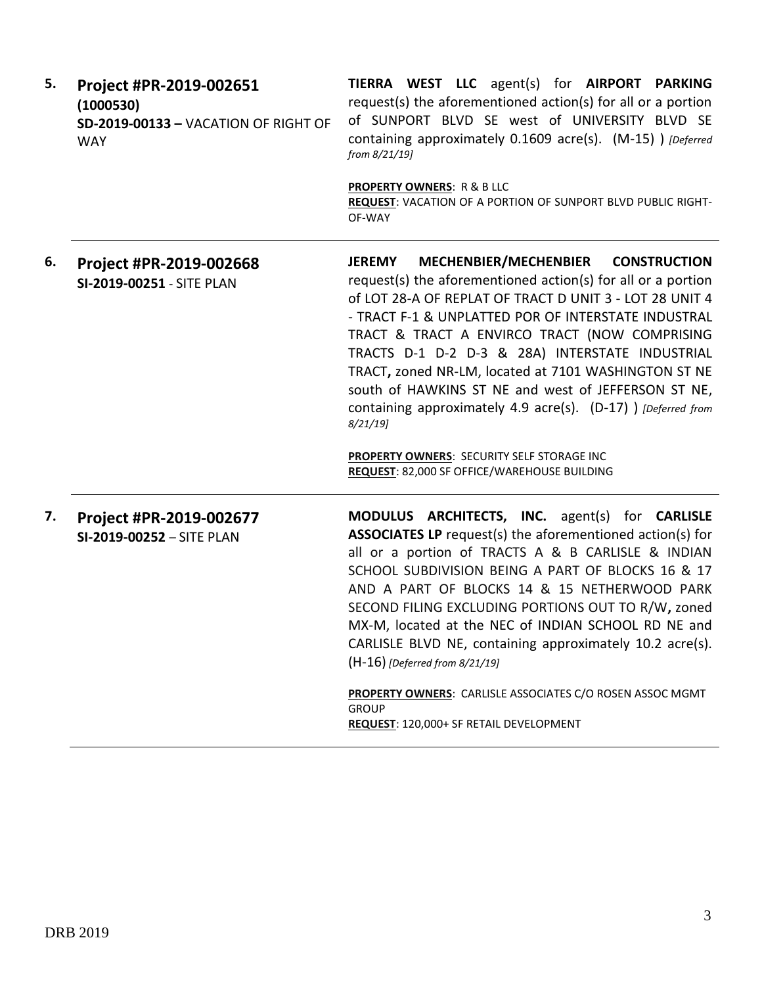| 5. | Project #PR-2019-002651<br>(1000530)<br>SD-2019-00133 - VACATION OF RIGHT OF<br><b>WAY</b> | TIERRA WEST LLC agent(s) for AIRPORT PARKING<br>request(s) the aforementioned action(s) for all or a portion<br>of SUNPORT BLVD SE west of UNIVERSITY BLVD SE<br>containing approximately 0.1609 acre(s). (M-15) ) [Deferred<br>from 8/21/19]                                                                                                                                                                                                                                                                                                           |
|----|--------------------------------------------------------------------------------------------|---------------------------------------------------------------------------------------------------------------------------------------------------------------------------------------------------------------------------------------------------------------------------------------------------------------------------------------------------------------------------------------------------------------------------------------------------------------------------------------------------------------------------------------------------------|
|    |                                                                                            | <b>PROPERTY OWNERS: R &amp; B LLC</b><br>REQUEST: VACATION OF A PORTION OF SUNPORT BLVD PUBLIC RIGHT-<br>OF-WAY                                                                                                                                                                                                                                                                                                                                                                                                                                         |
| 6. | Project #PR-2019-002668<br>SI-2019-00251 - SITE PLAN                                       | MECHENBIER/MECHENBIER CONSTRUCTION<br><b>JEREMY</b><br>request(s) the aforementioned action(s) for all or a portion<br>of LOT 28-A OF REPLAT OF TRACT D UNIT 3 - LOT 28 UNIT 4<br>- TRACT F-1 & UNPLATTED POR OF INTERSTATE INDUSTRAL<br>TRACT & TRACT A ENVIRCO TRACT (NOW COMPRISING<br>TRACTS D-1 D-2 D-3 & 28A) INTERSTATE INDUSTRIAL<br>TRACT, zoned NR-LM, located at 7101 WASHINGTON ST NE<br>south of HAWKINS ST NE and west of JEFFERSON ST NE,<br>containing approximately 4.9 acre(s). (D-17) ) [Deferred from<br>$8/21/19$ ]                |
|    |                                                                                            | PROPERTY OWNERS: SECURITY SELF STORAGE INC<br>REQUEST: 82,000 SF OFFICE/WAREHOUSE BUILDING                                                                                                                                                                                                                                                                                                                                                                                                                                                              |
| 7. | Project #PR-2019-002677<br>SI-2019-00252 - SITE PLAN                                       | MODULUS ARCHITECTS, INC. agent(s) for CARLISLE<br><b>ASSOCIATES LP</b> request(s) the aforementioned action(s) for<br>all or a portion of TRACTS A & B CARLISLE & INDIAN<br>SCHOOL SUBDIVISION BEING A PART OF BLOCKS 16 & 17<br>AND A PART OF BLOCKS 14 & 15 NETHERWOOD PARK<br>SECOND FILING EXCLUDING PORTIONS OUT TO R/W, zoned<br>MX-M, located at the NEC of INDIAN SCHOOL RD NE and<br>CARLISLE BLVD NE, containing approximately 10.2 acre(s).<br>$(H-16)$ [Deferred from 8/21/19]<br>PROPERTY OWNERS: CARLISLE ASSOCIATES C/O ROSEN ASSOC MGMT |
|    |                                                                                            | <b>GROUP</b><br>REQUEST: 120,000+ SF RETAIL DEVELOPMENT                                                                                                                                                                                                                                                                                                                                                                                                                                                                                                 |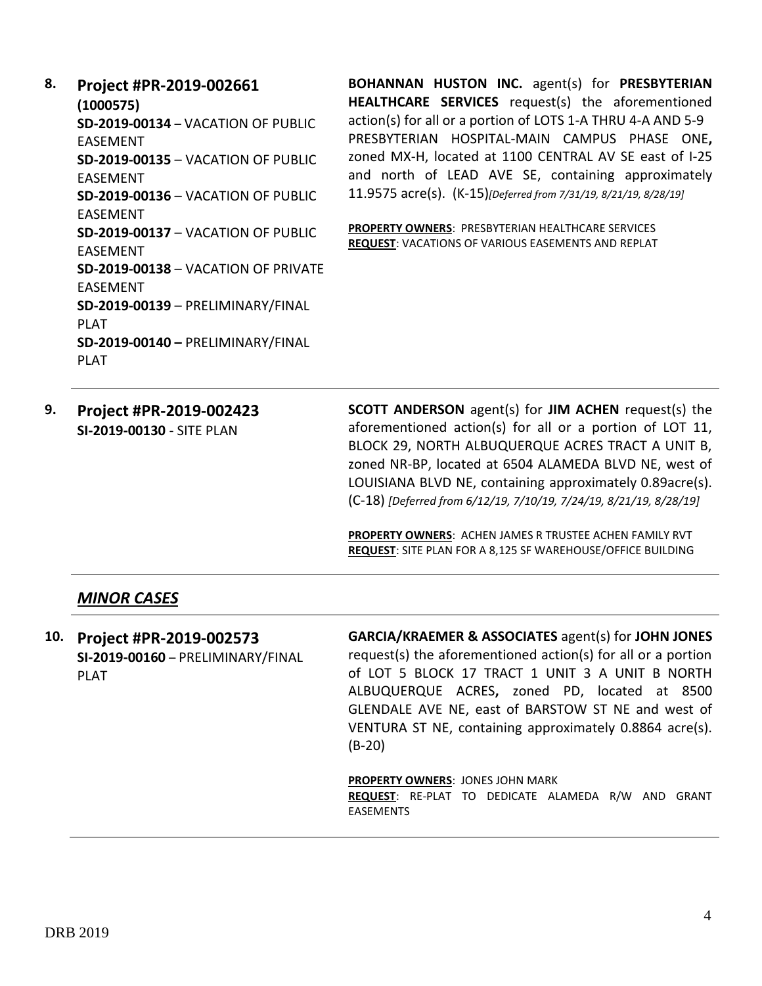**8. Project #PR-2019-002661 (1000575) SD-2019-00134** – VACATION OF PUBLIC EASEMENT **SD-2019-00135** – VACATION OF PUBLIC EASEMENT **SD-2019-00136** – VACATION OF PUBLIC EASEMENT **SD-2019-00137** – VACATION OF PUBLIC EASEMENT **SD-2019-00138** – VACATION OF PRIVATE EASEMENT **SD-2019-00139** – PRELIMINARY/FINAL PLAT **SD-2019-00140 –** PRELIMINARY/FINAL PLAT

**BOHANNAN HUSTON INC.** agent(s) for **PRESBYTERIAN HEALTHCARE SERVICES** request(s) the aforementioned action(s) for all or a portion of LOTS 1-A THRU 4-A AND 5-9 PRESBYTERIAN HOSPITAL-MAIN CAMPUS PHASE ONE**,**  zoned MX-H, located at 1100 CENTRAL AV SE east of I-25 and north of LEAD AVE SE, containing approximately 11.9575 acre(s). (K-15)*[Deferred from 7/31/19, 8/21/19, 8/28/19]*

**PROPERTY OWNERS**: PRESBYTERIAN HEALTHCARE SERVICES **REQUEST**: VACATIONS OF VARIOUS EASEMENTS AND REPLAT

**9. Project #PR-2019-002423 SI-2019-00130** - SITE PLAN

**SCOTT ANDERSON** agent(s) for **JIM ACHEN** request(s) the aforementioned action(s) for all or a portion of LOT 11, BLOCK 29, NORTH ALBUQUERQUE ACRES TRACT A UNIT B, zoned NR-BP, located at 6504 ALAMEDA BLVD NE, west of LOUISIANA BLVD NE, containing approximately 0.89acre(s). (C-18) *[Deferred from 6/12/19, 7/10/19, 7/24/19, 8/21/19, 8/28/19]*

**PROPERTY OWNERS**: ACHEN JAMES R TRUSTEE ACHEN FAMILY RVT **REQUEST**: SITE PLAN FOR A 8,125 SF WAREHOUSE/OFFICE BUILDING

#### *MINOR CASES*

| 10. Project #PR-2019-002573<br>SI-2019-00160 - PRELIMINARY/FINAL<br><b>PLAT</b> | GARCIA/KRAEMER & ASSOCIATES agent(s) for JOHN JONES<br>request(s) the aforementioned action(s) for all or a portion<br>of LOT 5 BLOCK 17 TRACT 1 UNIT 3 A UNIT B NORTH<br>ALBUQUERQUE ACRES, zoned PD, located at 8500<br>GLENDALE AVE NE, east of BARSTOW ST NE and west of<br>VENTURA ST NE, containing approximately 0.8864 acre(s).<br>$(B-20)$ |
|---------------------------------------------------------------------------------|-----------------------------------------------------------------------------------------------------------------------------------------------------------------------------------------------------------------------------------------------------------------------------------------------------------------------------------------------------|
|                                                                                 | <b>PROPERTY OWNERS: JONES JOHN MARK</b><br><b>REQUEST:</b> RE-PLAT TO DEDICATE ALAMEDA R/W AND GRANT<br><b>EASEMENTS</b>                                                                                                                                                                                                                            |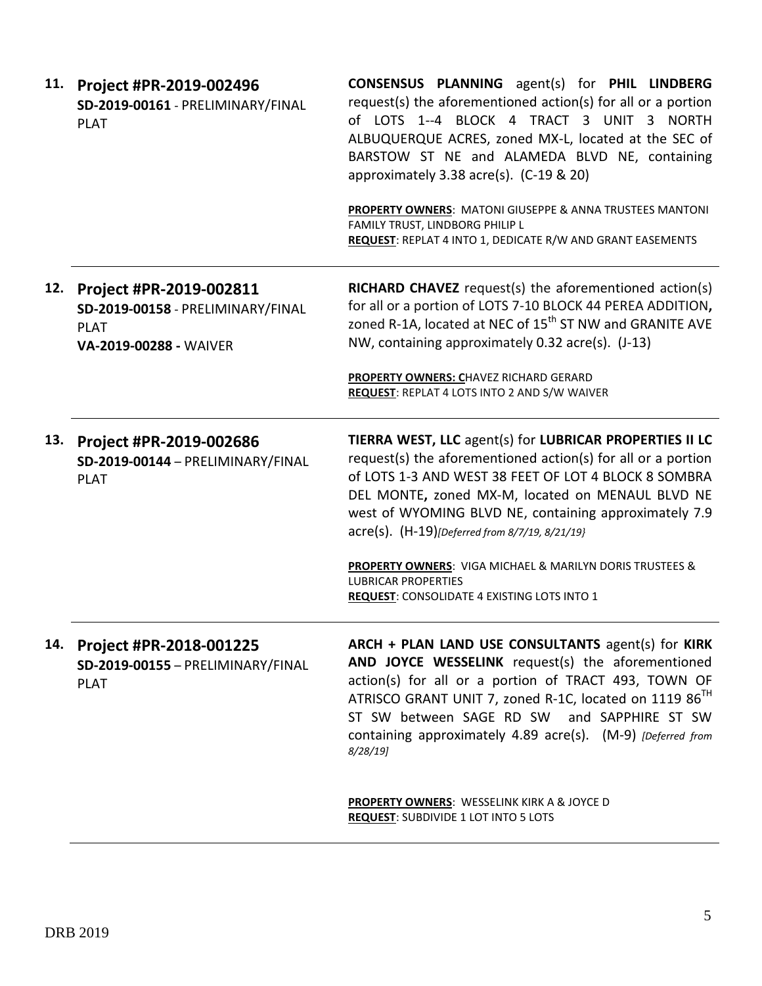| 11. | Project #PR-2019-002496<br>SD-2019-00161 - PRELIMINARY/FINAL<br><b>PLAT</b>                           | <b>CONSENSUS PLANNING</b> agent(s) for PHIL LINDBERG<br>request(s) the aforementioned action(s) for all or a portion<br>of LOTS 1--4 BLOCK 4 TRACT 3 UNIT 3 NORTH<br>ALBUQUERQUE ACRES, zoned MX-L, located at the SEC of<br>BARSTOW ST NE and ALAMEDA BLVD NE, containing<br>approximately 3.38 acre(s). $(C-19 \& 20)$<br>PROPERTY OWNERS: MATONI GIUSEPPE & ANNA TRUSTEES MANTONI |
|-----|-------------------------------------------------------------------------------------------------------|--------------------------------------------------------------------------------------------------------------------------------------------------------------------------------------------------------------------------------------------------------------------------------------------------------------------------------------------------------------------------------------|
|     |                                                                                                       | FAMILY TRUST, LINDBORG PHILIP L<br>REQUEST: REPLAT 4 INTO 1, DEDICATE R/W AND GRANT EASEMENTS                                                                                                                                                                                                                                                                                        |
| 12. | Project #PR-2019-002811<br>SD-2019-00158 - PRELIMINARY/FINAL<br><b>PLAT</b><br>VA-2019-00288 - WAIVER | <b>RICHARD CHAVEZ</b> request(s) the aforementioned action(s)<br>for all or a portion of LOTS 7-10 BLOCK 44 PEREA ADDITION,<br>zoned R-1A, located at NEC of 15 <sup>th</sup> ST NW and GRANITE AVE<br>NW, containing approximately 0.32 acre(s). (J-13)<br>PROPERTY OWNERS: CHAVEZ RICHARD GERARD<br>REQUEST: REPLAT 4 LOTS INTO 2 AND S/W WAIVER                                   |
|     |                                                                                                       |                                                                                                                                                                                                                                                                                                                                                                                      |
| 13. | Project #PR-2019-002686<br>SD-2019-00144 - PRELIMINARY/FINAL<br><b>PLAT</b>                           | TIERRA WEST, LLC agent(s) for LUBRICAR PROPERTIES II LC<br>request(s) the aforementioned action(s) for all or a portion<br>of LOTS 1-3 AND WEST 38 FEET OF LOT 4 BLOCK 8 SOMBRA<br>DEL MONTE, zoned MX-M, located on MENAUL BLVD NE<br>west of WYOMING BLVD NE, containing approximately 7.9<br>acre(s). (H-19)[Deferred from 8/7/19, 8/21/19}                                       |
|     |                                                                                                       | PROPERTY OWNERS: VIGA MICHAEL & MARILYN DORIS TRUSTEES &<br><b>LUBRICAR PROPERTIES</b><br><b>REQUEST: CONSOLIDATE 4 EXISTING LOTS INTO 1</b>                                                                                                                                                                                                                                         |
| 14. | Project #PR-2018-001225<br>SD-2019-00155 - PRELIMINARY/FINAL<br><b>PLAT</b>                           | ARCH + PLAN LAND USE CONSULTANTS agent(s) for KIRK<br>AND JOYCE WESSELINK request(s) the aforementioned<br>action(s) for all or a portion of TRACT 493, TOWN OF<br>ATRISCO GRANT UNIT 7, zoned R-1C, located on 1119 86 <sup>TH</sup><br>ST SW between SAGE RD SW and SAPPHIRE ST SW<br>containing approximately 4.89 acre(s). (M-9) [Deferred from<br>$8/28/19$ ]                   |
|     |                                                                                                       | <b>PROPERTY OWNERS: WESSELINK KIRK A &amp; JOYCE D</b><br><b>REQUEST: SUBDIVIDE 1 LOT INTO 5 LOTS</b>                                                                                                                                                                                                                                                                                |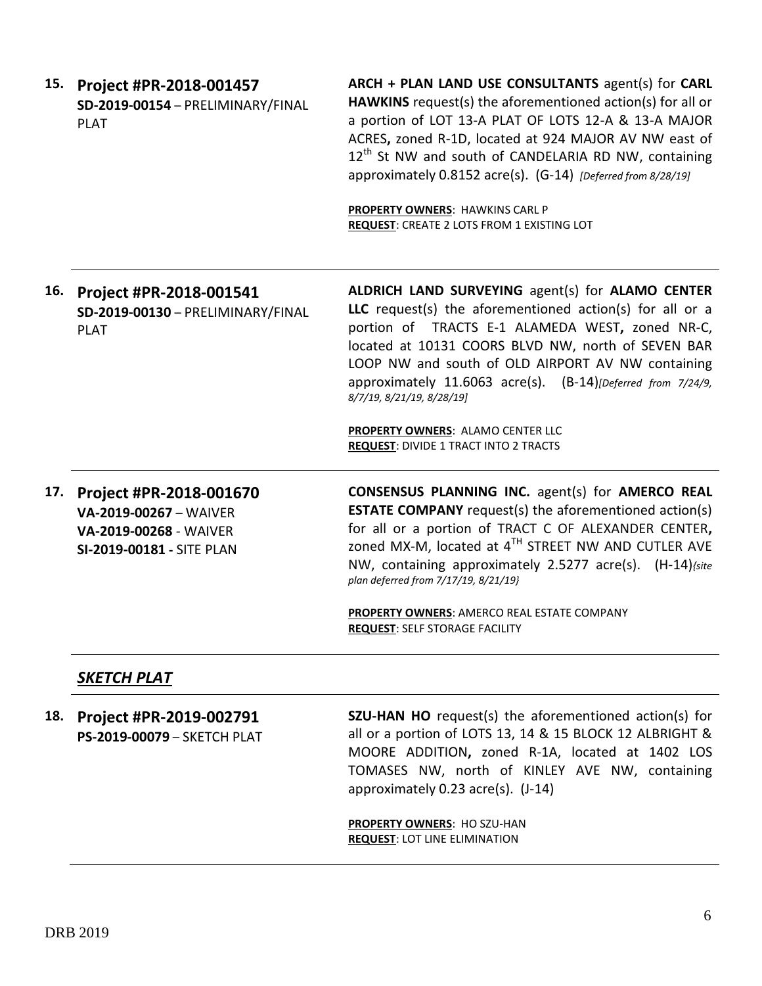| 15. | Project #PR-2018-001457<br>SD-2019-00154 - PRELIMINARY/FINAL<br><b>PLAT</b> | ARCH + PLAN LAND USE CONSULTANTS agent(s) for CARL<br><b>HAWKINS</b> request(s) the aforementioned action(s) for all or<br>a portion of LOT 13-A PLAT OF LOTS 12-A & 13-A MAJOR<br>ACRES, zoned R-1D, located at 924 MAJOR AV NW east of<br>12 <sup>th</sup> St NW and south of CANDELARIA RD NW, containing<br>approximately 0.8152 acre(s). (G-14) [Deferred from 8/28/19]<br><b>PROPERTY OWNERS: HAWKINS CARL P</b><br><b>REQUEST: CREATE 2 LOTS FROM 1 EXISTING LOT</b> |
|-----|-----------------------------------------------------------------------------|-----------------------------------------------------------------------------------------------------------------------------------------------------------------------------------------------------------------------------------------------------------------------------------------------------------------------------------------------------------------------------------------------------------------------------------------------------------------------------|
| 16. | Project #PR-2018-001541<br>SD-2019-00130 - PRELIMINARY/FINAL<br><b>PLAT</b> | ALDRICH LAND SURVEYING agent(s) for ALAMO CENTER<br>LLC request(s) the aforementioned action(s) for all or a<br>portion of TRACTS E-1 ALAMEDA WEST, zoned NR-C,<br>located at 10131 COORS BLVD NW, north of SEVEN BAR<br>LOOP NW and south of OLD AIRPORT AV NW containing<br>approximately $11.6063$ acre(s). $(B-14)$ [Deferred from $7/24/9$ ,<br>8/7/19, 8/21/19, 8/28/19]<br>PROPERTY OWNERS: ALAMO CENTER LLC<br><b>REQUEST: DIVIDE 1 TRACT INTO 2 TRACTS</b>         |

**17. Project #PR-2018-001670 VA-2019-00267** – WAIVER **VA-2019-00268** - WAIVER **SI-2019-00181 -** SITE PLAN **CONSENSUS PLANNING INC.** agent(s) for **AMERCO REAL ESTATE COMPANY** request(s) the aforementioned action(s) for all or a portion of TRACT C OF ALEXANDER CENTER**,**  zoned MX-M, located at 4 TH STREET NW AND CUTLER AVE NW, containing approximately 2.5277 acre(s). (H-14)*{site plan deferred from 7/17/19, 8/21/19}*

> **PROPERTY OWNERS**: AMERCO REAL ESTATE COMPANY **REQUEST**: SELF STORAGE FACILITY

#### *SKETCH PLAT*

**18. Project #PR-2019-002791 PS-2019-00079** – SKETCH PLAT **SZU-HAN HO** request(s) the aforementioned action(s) for all or a portion of LOTS 13, 14 & 15 BLOCK 12 ALBRIGHT & MOORE ADDITION**,** zoned R-1A, located at 1402 LOS TOMASES NW, north of KINLEY AVE NW, containing approximately 0.23 acre(s). (J-14) **PROPERTY OWNERS**: HO SZU-HAN

**REQUEST**: LOT LINE ELIMINATION